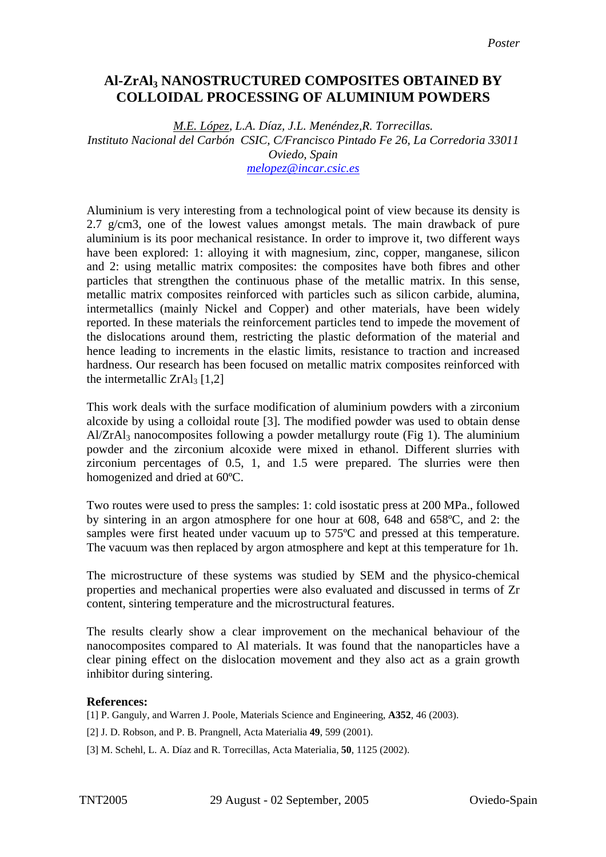## **Al-ZrAl3 NANOSTRUCTURED COMPOSITES OBTAINED BY COLLOIDAL PROCESSING OF ALUMINIUM POWDERS**

*M.E. López, L.A. Díaz, J.L. Menéndez,R. Torrecillas. Instituto Nacional del Carbón CSIC, C/Francisco Pintado Fe 26, La Corredoria 33011 Oviedo, Spain [melopez@i](mailto:melopez@)ncar.csic.es*

Aluminium is very interesting from a technological point of view because its density is 2.7 g/cm3, one of the lowest values amongst metals. The main drawback of pure aluminium is its poor mechanical resistance. In order to improve it, two different ways have been explored: 1: alloying it with magnesium, zinc, copper, manganese, silicon and 2: using metallic matrix composites: the composites have both fibres and other particles that strengthen the continuous phase of the metallic matrix. In this sense, metallic matrix composites reinforced with particles such as silicon carbide, alumina, intermetallics (mainly Nickel and Copper) and other materials, have been widely reported. In these materials the reinforcement particles tend to impede the movement of the dislocations around them, restricting the plastic deformation of the material and hence leading to increments in the elastic limits, resistance to traction and increased hardness. Our research has been focused on metallic matrix composites reinforced with the intermetallic  $ZrAl<sub>3</sub> [1,2]$ 

This work deals with the surface modification of aluminium powders with a zirconium alcoxide by using a colloidal route [3]. The modified powder was used to obtain dense  $A<sub>1</sub>ZrA<sub>13</sub>$  nanocomposites following a powder metallurgy route (Fig 1). The aluminium powder and the zirconium alcoxide were mixed in ethanol. Different slurries with zirconium percentages of 0.5, 1, and 1.5 were prepared. The slurries were then homogenized and dried at 60ºC.

Two routes were used to press the samples: 1: cold isostatic press at 200 MPa., followed by sintering in an argon atmosphere for one hour at 608, 648 and 658ºC, and 2: the samples were first heated under vacuum up to 575<sup>o</sup>C and pressed at this temperature. The vacuum was then replaced by argon atmosphere and kept at this temperature for 1h.

The microstructure of these systems was studied by SEM and the physico-chemical properties and mechanical properties were also evaluated and discussed in terms of Zr content, sintering temperature and the microstructural features.

The results clearly show a clear improvement on the mechanical behaviour of the nanocomposites compared to Al materials. It was found that the nanoparticles have a clear pining effect on the dislocation movement and they also act as a grain growth inhibitor during sintering.

## **References:**

[1] P. Ganguly, and Warren J. Poole, Materials Science and Engineering, **A352**, 46 (2003).

[2] J. D. Robson, and P. B. Prangnell, Acta Materialia **49**, 599 (2001).

[3] M. Schehl, L. A. Díaz and R. Torrecillas, Acta Materialia, **50**, 1125 (2002).